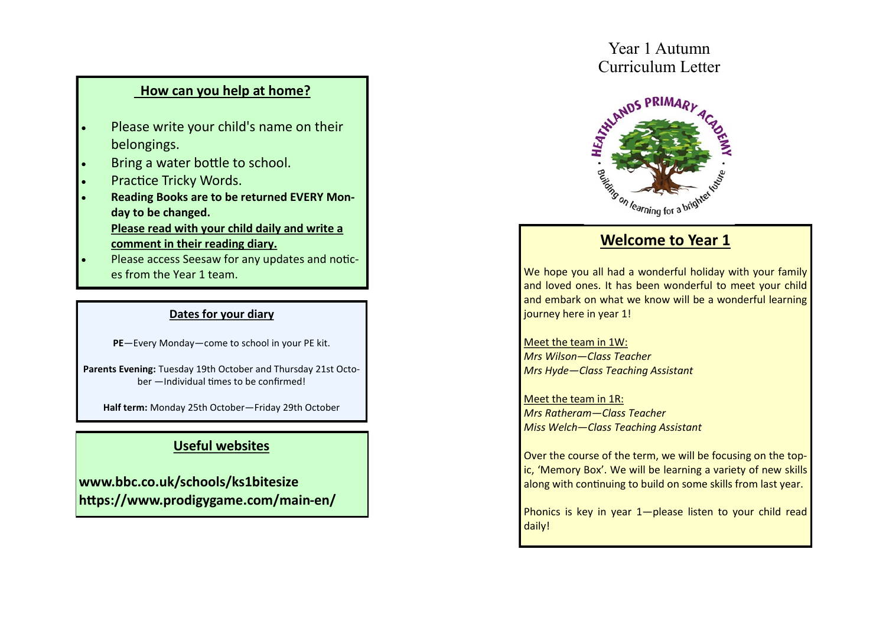## **How can you help at home?**

- Please write your child's name on their belongings.
- Bring a water bottle to school.
- Practice Tricky Words.
- **Reading Books are to be returned EVERY Monday to be changed. Please read with your child daily and write a comment in their reading diary.**
- Please access Seesaw for any updates and notices from the Year 1 team.

#### **Dates for your diary**

**PE**—Every Monday—come to school in your PE kit.

**Parents Evening:** Tuesday 19th October and Thursday 21st October —Individual times to be confirmed!

**Half term:** Monday 25th October—Friday 29th October

# **Useful websites**

**www.bbc.co.uk/schools/ks1bitesize https://www.prodigygame.com/main-en/**

# Year 1 Autumn



# **Welcome to Year 1**

We hope you all had a wonderful holiday with your family and loved ones. It has been wonderful to meet your child and embark on what we know will be a wonderful learning journey here in year 1!

Meet the team in 1W: *Mrs Wilson—Class Teacher Mrs Hyde—Class Teaching Assistant*

Meet the team in 1R: *Mrs Ratheram—Class Teacher Miss Welch—Class Teaching Assistant*

Over the course of the term, we will be focusing on the topic, 'Memory Box'. We will be learning a variety of new skills along with continuing to build on some skills from last year.

Phonics is key in year 1-please listen to your child read daily!